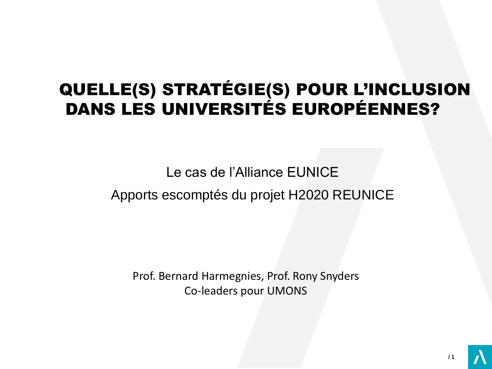# QUELLE(S) STRATÉGIE(S) POUR L'INCLUSION DANS LES UNIVERSITÉS EUROPÉENNES?

## Le cas de l'Alliance EUNICE Apports escomptés du projet H2020 REUNICE

Prof. Bernard Harmegnies, Prof. Rony Snyders Co-leaders pour UMONS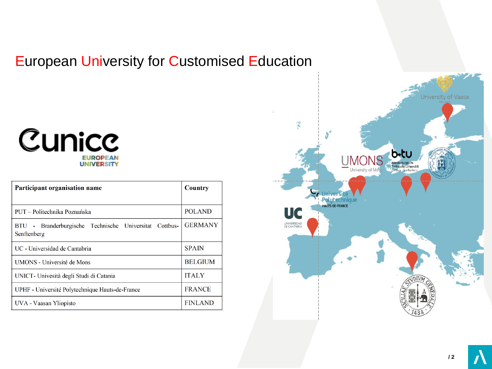### European University for Customised Education

### Cunicc **EUROPEAN UNIVERSITY**

| Participant organisation name                                         | Country        |
|-----------------------------------------------------------------------|----------------|
|                                                                       |                |
| PUT – Politechnika Poznańska                                          | <b>POLAND</b>  |
| BTU - Branderburgische Technische Universitat Cottbus-<br>Senftenberg | <b>GERMANY</b> |
| UC - Universidad de Cantabria                                         | <b>SPAIN</b>   |
| <b>UMONS</b> - Université de Mons                                     | <b>BELGIUM</b> |
| UNICT - Univesità degli Studi di Catania                              | <b>ITALY</b>   |
| UPHF - Université Polytechnique Hauts-de-France                       | <b>FRANCE</b>  |
| UVA - Vaasan Yliopisto                                                | <b>FINLAND</b> |

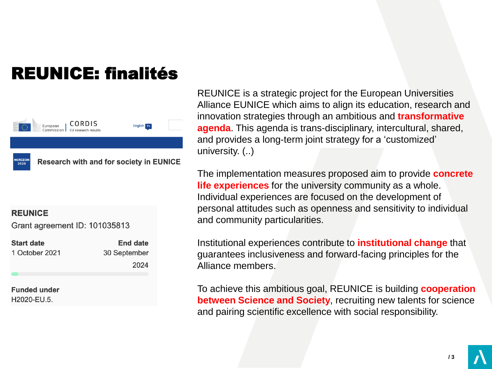# REUNICE: finalités



#### **REUNICE**

Grant agreement ID: 101035813

| <b>Start date</b> | <b>End date</b> |
|-------------------|-----------------|
| 1 October 2021    | 30 September    |
|                   | 2024            |

**Funded under** H2020-EU.5.

REUNICE is a strategic project for the European Universities Alliance EUNICE which aims to align its education, research and innovation strategies through an ambitious and **transformative agenda**. This agenda is trans-disciplinary, intercultural, shared, and provides a long-term joint strategy for a 'customized' university. (..)

The implementation measures proposed aim to provide **concrete life experiences** for the university community as a whole. Individual experiences are focused on the development of personal attitudes such as openness and sensitivity to individual and community particularities.

Institutional experiences contribute to **institutional change** that guarantees inclusiveness and forward-facing principles for the Alliance members.

To achieve this ambitious goal, REUNICE is building **cooperation between Science and Society**, recruiting new talents for science and pairing scientific excellence with social responsibility.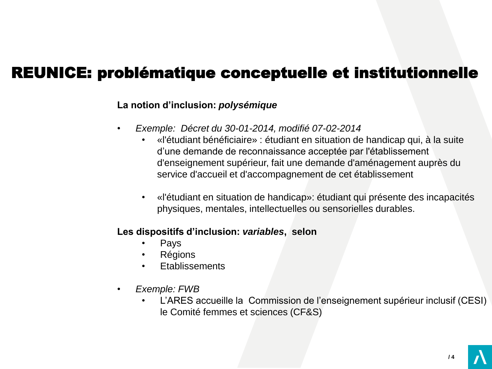### REUNICE: problématique conceptuelle et institutionnelle

### **La notion d'inclusion:** *polysémique*

- *Exemple: Décret du 30-01-2014, modifié 07-02-2014*
	- «l'étudiant bénéficiaire» : étudiant en situation de handicap qui, à la suite d'une demande de reconnaissance acceptée par l'établissement d'enseignement supérieur, fait une demande d'aménagement auprès du service d'accueil et d'accompagnement de cet établissement
	- «l'étudiant en situation de handicap»: étudiant qui présente des incapacités physiques, mentales, intellectuelles ou sensorielles durables.

#### **Les dispositifs d'inclusion:** *variables***, selon**

- Pays
- **Régions**
- **Etablissements**
- *Exemple: FWB*
	- L'ARES accueille la Commission de l'enseignement supérieur inclusif (CESI) le Comité femmes et sciences (CF&S)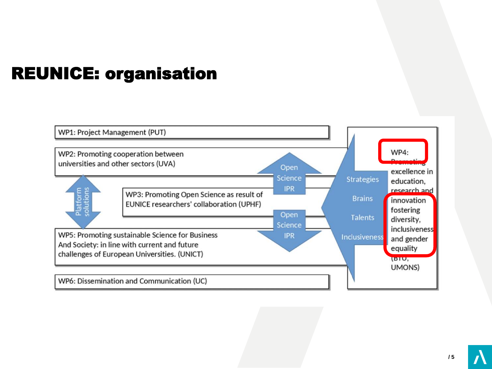# REUNICE: organisation

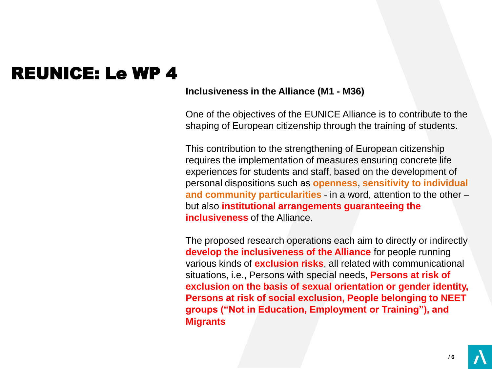## REUNICE: Le WP 4

#### **Inclusiveness in the Alliance (M1 - M36)**

One of the objectives of the EUNICE Alliance is to contribute to the shaping of European citizenship through the training of students.

This contribution to the strengthening of European citizenship requires the implementation of measures ensuring concrete life experiences for students and staff, based on the development of personal dispositions such as **openness**, **sensitivity to individual and community particularities** - in a word, attention to the other – but also **institutional arrangements guaranteeing the inclusiveness** of the Alliance.

The proposed research operations each aim to directly or indirectly **develop the inclusiveness of the Alliance** for people running various kinds of **exclusion risks**, all related with communicational situations, i.e., Persons with special needs, **Persons at risk of exclusion on the basis of sexual orientation or gender identity, Persons at risk of social exclusion, People belonging to NEET groups ("Not in Education, Employment or Training"), and Migrants**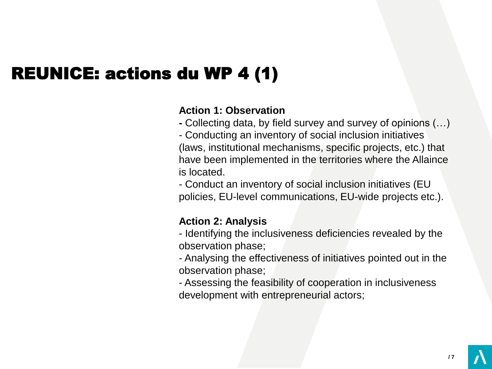# REUNICE: actions du WP 4 (1)

### **Action 1: Observation**

**-** Collecting data, by field survey and survey of opinions (…)

- Conducting an inventory of social inclusion initiatives (laws, institutional mechanisms, specific projects, etc.) that have been implemented in the territories where the Allaince is located.

- Conduct an inventory of social inclusion initiatives (EU policies, EU-level communications, EU-wide projects etc.).

### **Action 2: Analysis**

- Identifying the inclusiveness deficiencies revealed by the observation phase;

- Analysing the effectiveness of initiatives pointed out in the observation phase;

- Assessing the feasibility of cooperation in inclusiveness development with entrepreneurial actors;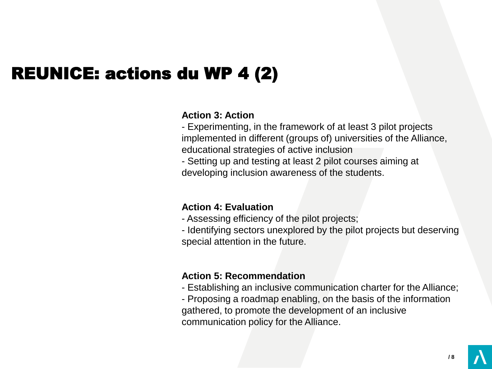# REUNICE: actions du WP 4 (2)

#### **Action 3: Action**

- Experimenting, in the framework of at least 3 pilot projects implemented in different (groups of) universities of the Alliance, educational strategies of active inclusion

- Setting up and testing at least 2 pilot courses aiming at developing inclusion awareness of the students.

### **Action 4: Evaluation**

- Assessing efficiency of the pilot projects;

- Identifying sectors unexplored by the pilot projects but deserving special attention in the future.

### **Action 5: Recommendation**

- Establishing an inclusive communication charter for the Alliance;

- Proposing a roadmap enabling, on the basis of the information gathered, to promote the development of an inclusive communication policy for the Alliance.